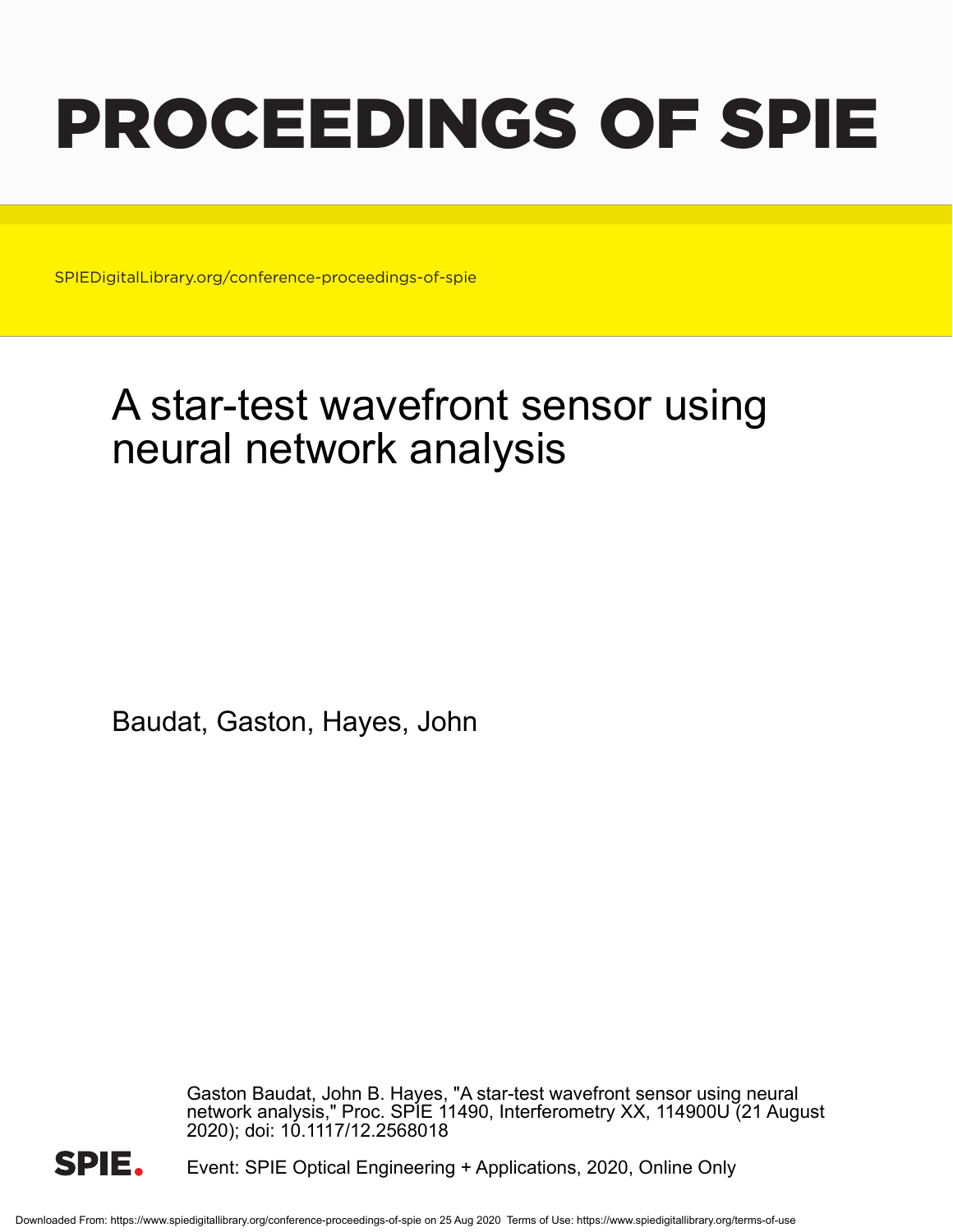# PROCEEDINGS OF SPIE

SPIEDigitalLibrary.org/conference-proceedings-of-spie

## A star-test wavefront sensor using neural network analysis

Baudat, Gaston, Hayes, John

Gaston Baudat, John B. Hayes, "A star-test wavefront sensor using neural network analysis," Proc. SPIE 11490, Interferometry XX, 114900U (21 August 2020); doi: 10.1117/12.2568018



Event: SPIE Optical Engineering + Applications, 2020, Online Only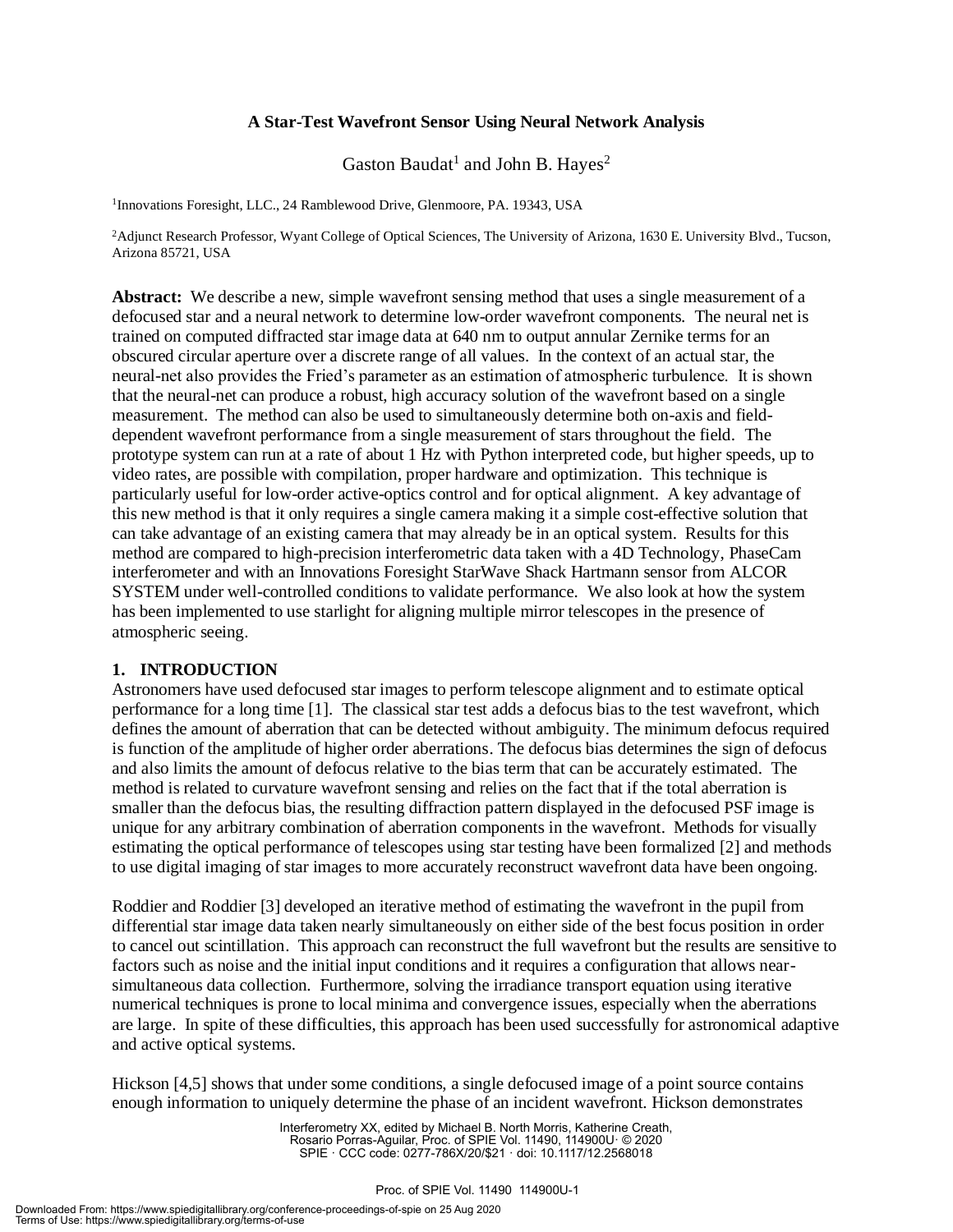#### **A Star-Test Wavefront Sensor Using Neural Network Analysis**

Gaston Baudat<sup>1</sup> and John B. Hayes<sup>2</sup>

<sup>1</sup>Innovations Foresight, LLC., 24 Ramblewood Drive, Glenmoore, PA. 19343, USA

<sup>2</sup>Adjunct Research Professor, Wyant College of Optical Sciences, The University of Arizona, 1630 E. University Blvd., Tucson, Arizona 85721, USA

**Abstract:** We describe a new, simple wavefront sensing method that uses a single measurement of a defocused star and a neural network to determine low-order wavefront components. The neural net is trained on computed diffracted star image data at 640 nm to output annular Zernike terms for an obscured circular aperture over a discrete range of all values. In the context of an actual star, the neural-net also provides the Fried's parameter as an estimation of atmospheric turbulence. It is shown that the neural-net can produce a robust, high accuracy solution of the wavefront based on a single measurement. The method can also be used to simultaneously determine both on-axis and fielddependent wavefront performance from a single measurement of stars throughout the field. The prototype system can run at a rate of about 1 Hz with Python interpreted code, but higher speeds, up to video rates, are possible with compilation, proper hardware and optimization. This technique is particularly useful for low-order active-optics control and for optical alignment. A key advantage of this new method is that it only requires a single camera making it a simple cost-effective solution that can take advantage of an existing camera that may already be in an optical system. Results for this method are compared to high-precision interferometric data taken with a 4D Technology, PhaseCam interferometer and with an Innovations Foresight StarWave Shack Hartmann sensor from ALCOR SYSTEM under well-controlled conditions to validate performance. We also look at how the system has been implemented to use starlight for aligning multiple mirror telescopes in the presence of atmospheric seeing.

#### **1. INTRODUCTION**

Astronomers have used defocused star images to perform telescope alignment and to estimate optical performance for a long time [1]. The classical star test adds a defocus bias to the test wavefront, which defines the amount of aberration that can be detected without ambiguity. The minimum defocus required is function of the amplitude of higher order aberrations. The defocus bias determines the sign of defocus and also limits the amount of defocus relative to the bias term that can be accurately estimated. The method is related to curvature wavefront sensing and relies on the fact that if the total aberration is smaller than the defocus bias, the resulting diffraction pattern displayed in the defocused PSF image is unique for any arbitrary combination of aberration components in the wavefront. Methods for visually estimating the optical performance of telescopes using star testing have been formalized [2] and methods to use digital imaging of star images to more accurately reconstruct wavefront data have been ongoing.

Roddier and Roddier [3] developed an iterative method of estimating the wavefront in the pupil from differential star image data taken nearly simultaneously on either side of the best focus position in order to cancel out scintillation. This approach can reconstruct the full wavefront but the results are sensitive to factors such as noise and the initial input conditions and it requires a configuration that allows nearsimultaneous data collection. Furthermore, solving the irradiance transport equation using iterative numerical techniques is prone to local minima and convergence issues, especially when the aberrations are large. In spite of these difficulties, this approach has been used successfully for astronomical adaptive and active optical systems.

Hickson [4,5] shows that under some conditions, a single defocused image of a point source contains enough information to uniquely determine the phase of an incident wavefront. Hickson demonstrates

> Interferometry XX, edited by Michael B. North Morris, Katherine Creath, Rosario Porras-Aguilar, Proc. of SPIE Vol. 11490, 114900U· © 2020 SPIE · CCC code: 0277-786X/20/\$21 · doi: 10.1117/12.2568018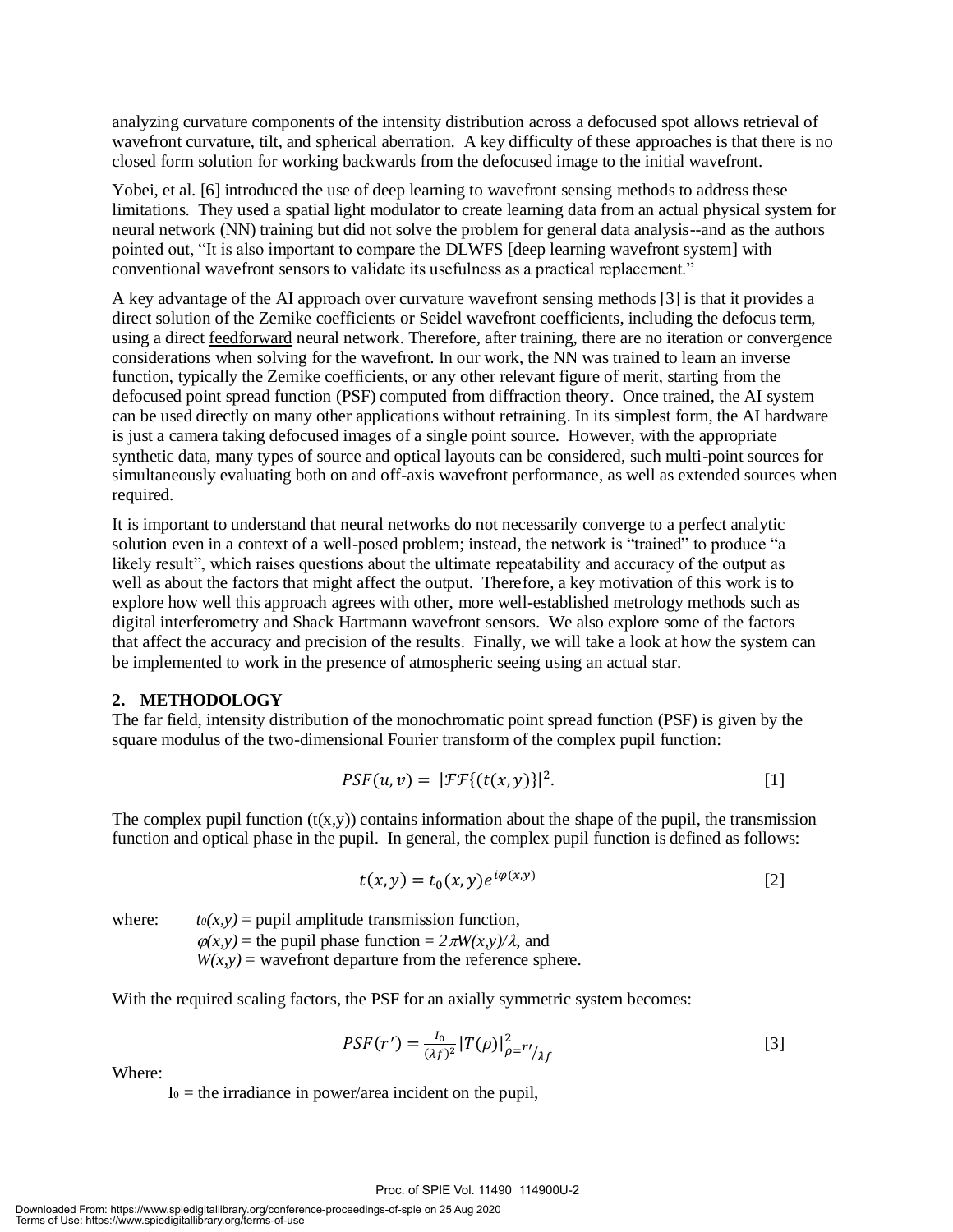analyzing curvature components of the intensity distribution across a defocused spot allows retrieval of wavefront curvature, tilt, and spherical aberration. A key difficulty of these approaches is that there is no closed form solution for working backwards from the defocused image to the initial wavefront.

Yobei, et al. [6] introduced the use of deep learning to wavefront sensing methods to address these limitations. They used a spatial light modulator to create learning data from an actual physical system for neural network (NN) training but did not solve the problem for general data analysis--and as the authors pointed out, "It is also important to compare the DLWFS [deep learning wavefront system] with conventional wavefront sensors to validate its usefulness as a practical replacement."

A key advantage of the AI approach over curvature wavefront sensing methods [3] is that it provides a direct solution of the Zernike coefficients or Seidel wavefront coefficients, including the defocus term, using a direct feedforward neural network. Therefore, after training, there are no iteration or convergence considerations when solving for the wavefront. In our work, the NN was trained to learn an inverse function, typically the Zernike coefficients, or any other relevant figure of merit, starting from the defocused point spread function (PSF) computed from diffraction theory. Once trained, the AI system can be used directly on many other applications without retraining. In its simplest form, the AI hardware is just a camera taking defocused images of a single point source. However, with the appropriate synthetic data, many types of source and optical layouts can be considered, such multi-point sources for simultaneously evaluating both on and off-axis wavefront performance, as well as extended sources when required.

It is important to understand that neural networks do not necessarily converge to a perfect analytic solution even in a context of a well-posed problem; instead, the network is "trained" to produce "a likely result", which raises questions about the ultimate repeatability and accuracy of the output as well as about the factors that might affect the output. Therefore, a key motivation of this work is to explore how well this approach agrees with other, more well-established metrology methods such as digital interferometry and Shack Hartmann wavefront sensors. We also explore some of the factors that affect the accuracy and precision of the results. Finally, we will take a look at how the system can be implemented to work in the presence of atmospheric seeing using an actual star.

#### **2. METHODOLOGY**

The far field, intensity distribution of the monochromatic point spread function (PSF) is given by the square modulus of the two-dimensional Fourier transform of the complex pupil function:

$$
PSF(u,v) = |\mathcal{FF}\{(t(x,y))\}|^2.
$$
 [1]

The complex pupil function  $(t(x,y))$  contains information about the shape of the pupil, the transmission function and optical phase in the pupil. In general, the complex pupil function is defined as follows:

$$
t(x, y) = t_0(x, y)e^{i\varphi(x, y)}
$$
 [2]

where:  $t_0(x, y) =$  pupil amplitude transmission function,  $\varphi(x, y)$  = the pupil phase function =  $2 \pi W(x, y)/\lambda$ , and  $W(x, y)$  = wavefront departure from the reference sphere.

With the required scaling factors, the PSF for an axially symmetric system becomes:

$$
PSF(r') = \frac{I_0}{(\lambda f)^2} |T(\rho)|_{\rho = r'}^2 / \lambda f
$$
 [3]

Where:

 $I_0$  = the irradiance in power/area incident on the pupil,

#### Proc. of SPIE Vol. 11490 114900U-2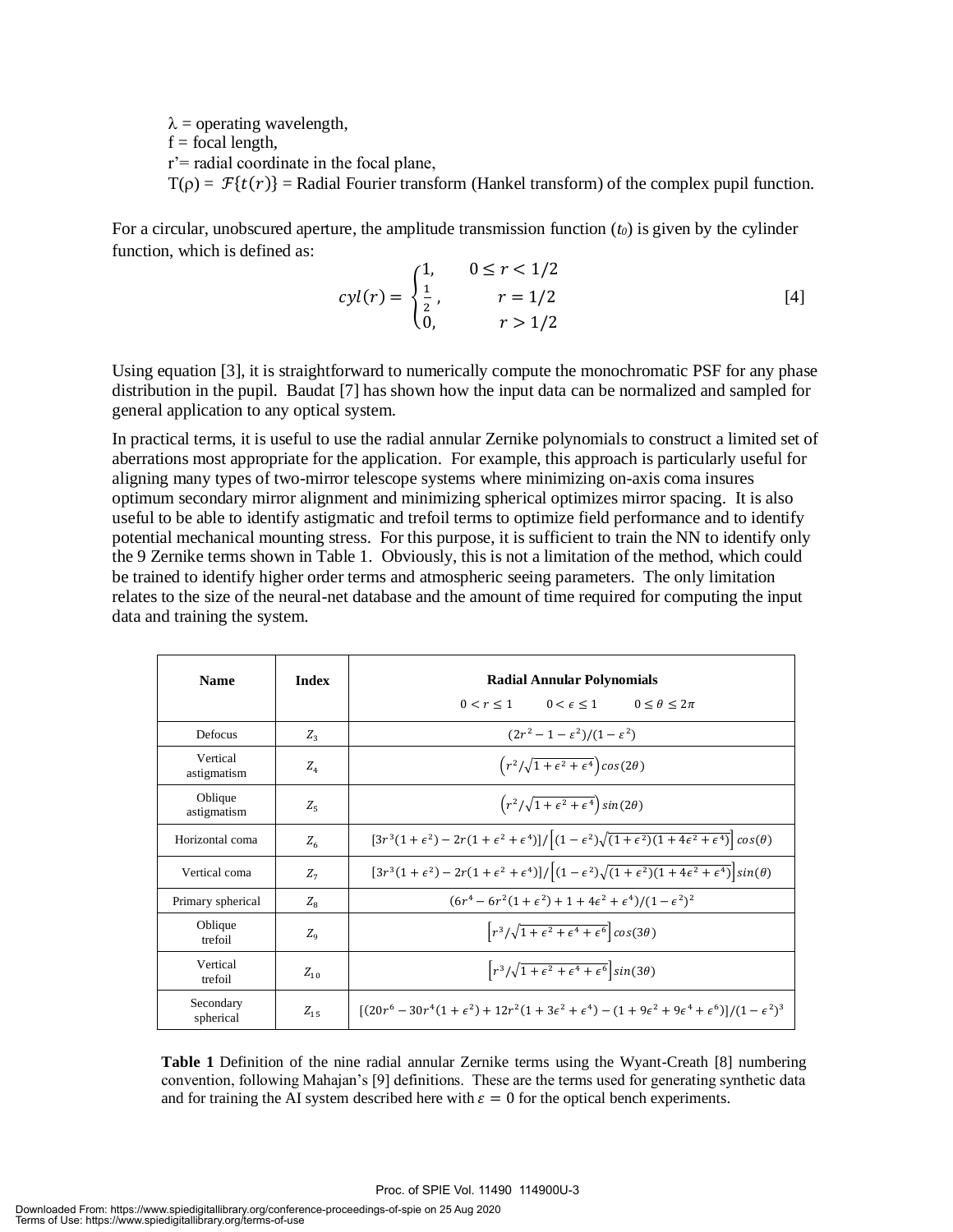$\lambda$  = operating wavelength,  $f = focal length$ , r'= radial coordinate in the focal plane,  $T(\rho) = \mathcal{F}\{t(r)\}$  = Radial Fourier transform (Hankel transform) of the complex pupil function.

For a circular, unobscured aperture, the amplitude transmission function (*t0*) is given by the cylinder function, which is defined as:

$$
cyl(r) = \begin{cases} 1, & 0 \le r < 1/2 \\ \frac{1}{2}, & r = 1/2 \\ 0, & r > 1/2 \end{cases}
$$
 [4]

Using equation [3], it is straightforward to numerically compute the monochromatic PSF for any phase distribution in the pupil. Baudat [7] has shown how the input data can be normalized and sampled for general application to any optical system.

In practical terms, it is useful to use the radial annular Zernike polynomials to construct a limited set of aberrations most appropriate for the application. For example, this approach is particularly useful for aligning many types of two-mirror telescope systems where minimizing on-axis coma insures optimum secondary mirror alignment and minimizing spherical optimizes mirror spacing. It is also useful to be able to identify astigmatic and trefoil terms to optimize field performance and to identify potential mechanical mounting stress. For this purpose, it is sufficient to train the NN to identify only the 9 Zernike terms shown in Table 1. Obviously, this is not a limitation of the method, which could be trained to identify higher order terms and atmospheric seeing parameters. The only limitation relates to the size of the neural-net database and the amount of time required for computing the input data and training the system.

| <b>Name</b>             | Index        | <b>Radial Annular Polynomials</b><br>$0 < r < 1$ $0 < \epsilon < 1$<br>$0 \leq \theta \leq 2\pi$                                         |  |  |
|-------------------------|--------------|------------------------------------------------------------------------------------------------------------------------------------------|--|--|
| Defocus                 | $Z_{3}$      | $(2r^2 - 1 - \varepsilon^2)/(1 - \varepsilon^2)$                                                                                         |  |  |
| Vertical<br>astigmatism | $Z_4$        | $\left(r^2/\sqrt{1+\epsilon^2+\epsilon^4}\right)\cos(2\theta)$                                                                           |  |  |
| Oblique<br>astigmatism  | $Z_{5}$      | $\left(r^2/\sqrt{1+\epsilon^2+\epsilon^4}\right)\sin(2\theta)$                                                                           |  |  |
| Horizontal coma         | $Z_{6}$      | $[3r^3(1+\epsilon^2)-2r(1+\epsilon^2+\epsilon^4)]/[(1-\epsilon^2)\sqrt{(1+\epsilon^2)(1+4\epsilon^2+\epsilon^4)}]cos(\theta)$            |  |  |
| Vertical coma           | $Z_{7}$      | $[3r^3(1+\epsilon^2)-2r(1+\epsilon^2+\epsilon^4)]/\left[(1-\epsilon^2)\sqrt{(1+\epsilon^2)(1+4\epsilon^2+\epsilon^4)}\right]sin(\theta)$ |  |  |
| Primary spherical       | $Z_{\rm g}$  | $(6r^4 - 6r^2(1+\epsilon^2) + 1 + 4\epsilon^2 + \epsilon^4)/(1-\epsilon^2)^2$                                                            |  |  |
| Oblique<br>trefoil      | $Z_{\alpha}$ | $\left[ r^3 / \sqrt{1 + \epsilon^2 + \epsilon^4 + \epsilon^6} \right] \cos(3\theta)$                                                     |  |  |
| Vertical<br>trefoil     | $Z_{10}$     | $\left[r^3/\sqrt{1+\epsilon^2+\epsilon^4+\epsilon^6}\right]sin(3\theta)$                                                                 |  |  |
| Secondary<br>spherical  | $Z_{15}$     | $[(20r^6-30r^4(1+\epsilon^2)+12r^2(1+3\epsilon^2+\epsilon^4)-(1+9\epsilon^2+9\epsilon^4+\epsilon^6)]/(1-\epsilon^2)^3$                   |  |  |

**Table 1** Definition of the nine radial annular Zernike terms using the Wyant-Creath [8] numbering convention, following Mahajan's [9] definitions. These are the terms used for generating synthetic data and for training the AI system described here with  $\varepsilon = 0$  for the optical bench experiments.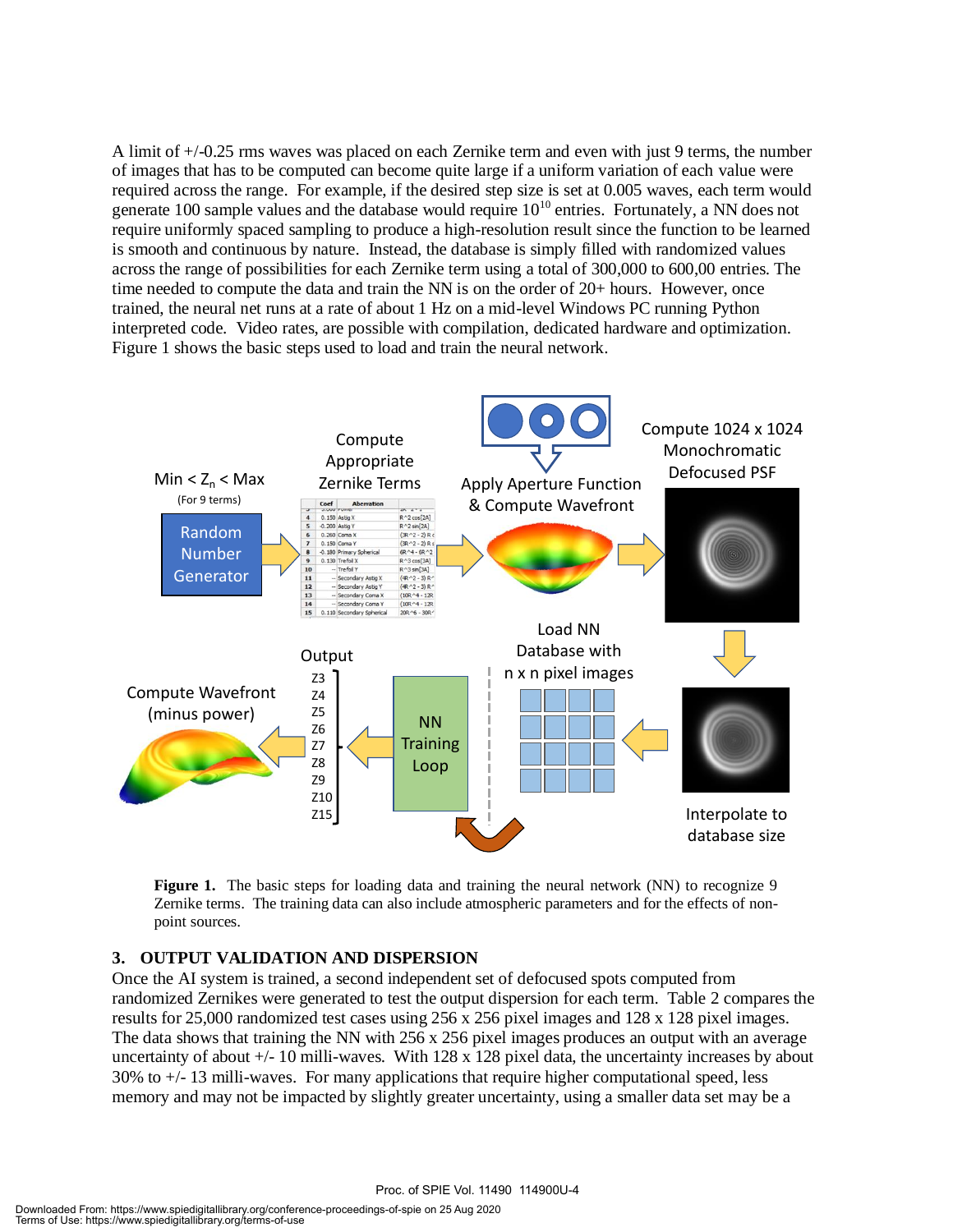A limit of +/-0.25 rms waves was placed on each Zernike term and even with just 9 terms, the number of images that has to be computed can become quite large if a uniform variation of each value were required across the range. For example, if the desired step size is set at 0.005 waves, each term would generate 100 sample values and the database would require  $10^{10}$  entries. Fortunately, a NN does not require uniformly spaced sampling to produce a high-resolution result since the function to be learned is smooth and continuous by nature. Instead, the database is simply filled with randomized values across the range of possibilities for each Zernike term using a total of 300,000 to 600,00 entries. The time needed to compute the data and train the NN is on the order of 20+ hours. However, once trained, the neural net runs at a rate of about 1 Hz on a mid-level Windows PC running Python interpreted code. Video rates, are possible with compilation, dedicated hardware and optimization. Figure 1 shows the basic steps used to load and train the neural network.



**Figure 1.** The basic steps for loading data and training the neural network (NN) to recognize 9 Zernike terms. The training data can also include atmospheric parameters and for the effects of nonpoint sources.

#### **3. OUTPUT VALIDATION AND DISPERSION**

Once the AI system is trained, a second independent set of defocused spots computed from randomized Zernikes were generated to test the output dispersion for each term. Table 2 compares the results for 25,000 randomized test cases using 256 x 256 pixel images and 128 x 128 pixel images. The data shows that training the NN with 256 x 256 pixel images produces an output with an average uncertainty of about +/- 10 milli-waves. With 128 x 128 pixel data, the uncertainty increases by about  $30\%$  to  $+/- 13$  milli-waves. For many applications that require higher computational speed, less memory and may not be impacted by slightly greater uncertainty, using a smaller data set may be a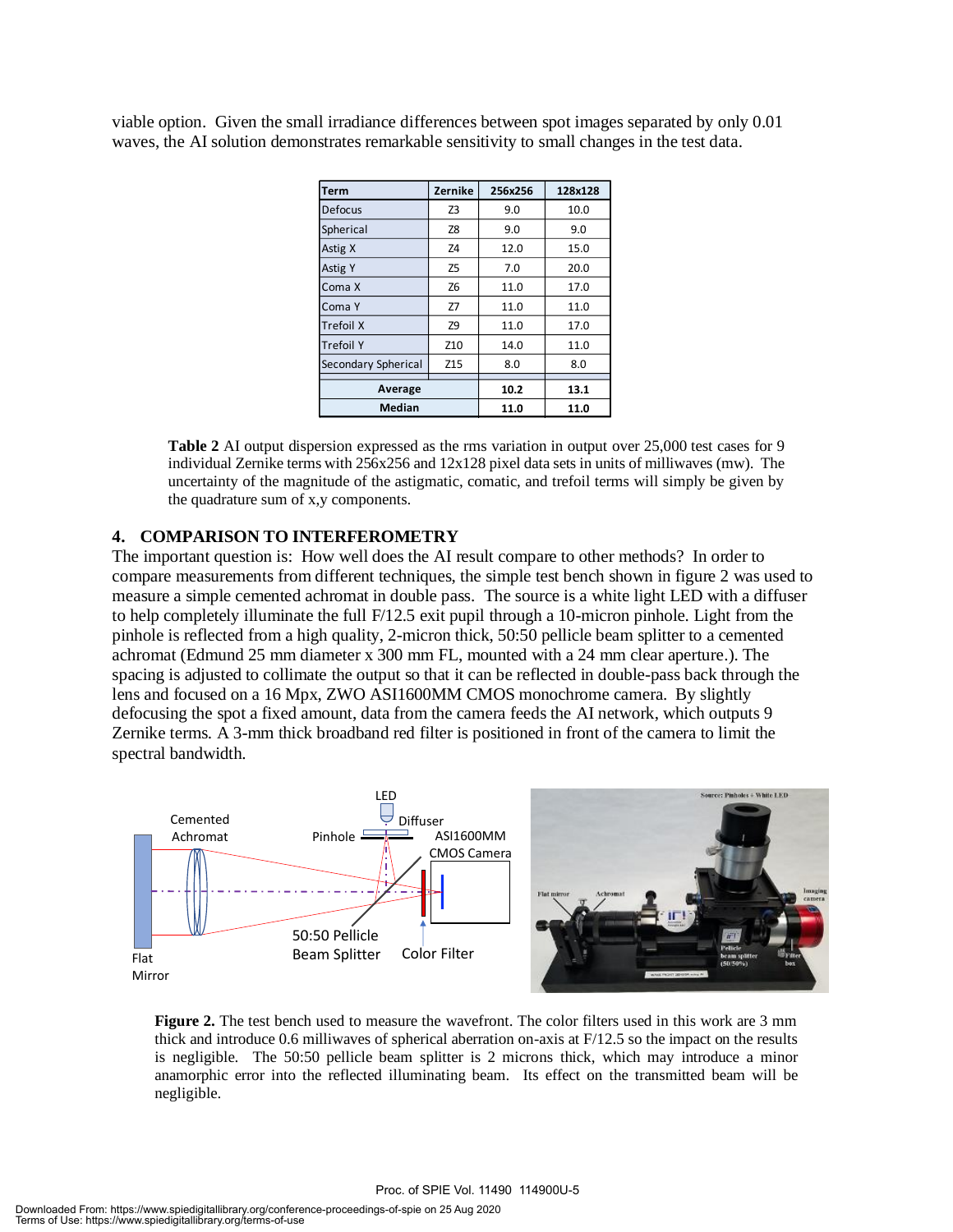viable option. Given the small irradiance differences between spot images separated by only 0.01 waves, the AI solution demonstrates remarkable sensitivity to small changes in the test data.

| Term                | Zernike         | 256x256 | 128x128 |
|---------------------|-----------------|---------|---------|
| <b>Defocus</b>      | Z <sub>3</sub>  | 9.0     | 10.0    |
| Spherical           | Z8              | 9.0     | 9.0     |
| Astig X             | Z4              | 12.0    | 15.0    |
| <b>Astig Y</b>      | Z <sub>5</sub>  | 7.0     | 20.0    |
| Coma X              | Z6              | 11.0    | 17.0    |
| Coma Y              | Z7              | 11.0    | 11.0    |
| <b>Trefoil X</b>    | Z9              | 11.0    | 17.0    |
| <b>Trefoil Y</b>    | Z <sub>10</sub> | 14.0    | 11.0    |
| Secondary Spherical | Z15             | 8.0     | 8.0     |
| Average             | 10.2            | 13.1    |         |
| <b>Median</b>       | 11.0            | 11.0    |         |

**Table 2** AI output dispersion expressed as the rms variation in output over 25,000 test cases for 9 individual Zernike terms with 256x256 and 12x128 pixel data sets in units of milliwaves (mw). The uncertainty of the magnitude of the astigmatic, comatic, and trefoil terms will simply be given by the quadrature sum of x,y components.

#### **4. COMPARISON TO INTERFEROMETRY**

The important question is: How well does the AI result compare to other methods? In order to compare measurements from different techniques, the simple test bench shown in figure 2 was used to measure a simple cemented achromat in double pass. The source is a white light LED with a diffuser to help completely illuminate the full F/12.5 exit pupil through a 10-micron pinhole. Light from the pinhole is reflected from a high quality, 2-micron thick, 50:50 pellicle beam splitter to a cemented achromat (Edmund 25 mm diameter x 300 mm FL, mounted with a 24 mm clear aperture.). The spacing is adjusted to collimate the output so that it can be reflected in double-pass back through the lens and focused on a 16 Mpx, ZWO ASI1600MM CMOS monochrome camera. By slightly defocusing the spot a fixed amount, data from the camera feeds the AI network, which outputs 9 Zernike terms. A 3-mm thick broadband red filter is positioned in front of the camera to limit the spectral bandwidth.



**Figure 2.** The test bench used to measure the wavefront. The color filters used in this work are 3 mm thick and introduce 0.6 milliwaves of spherical aberration on-axis at F/12.5 so the impact on the results is negligible. The 50:50 pellicle beam splitter is 2 microns thick, which may introduce a minor anamorphic error into the reflected illuminating beam. Its effect on the transmitted beam will be negligible.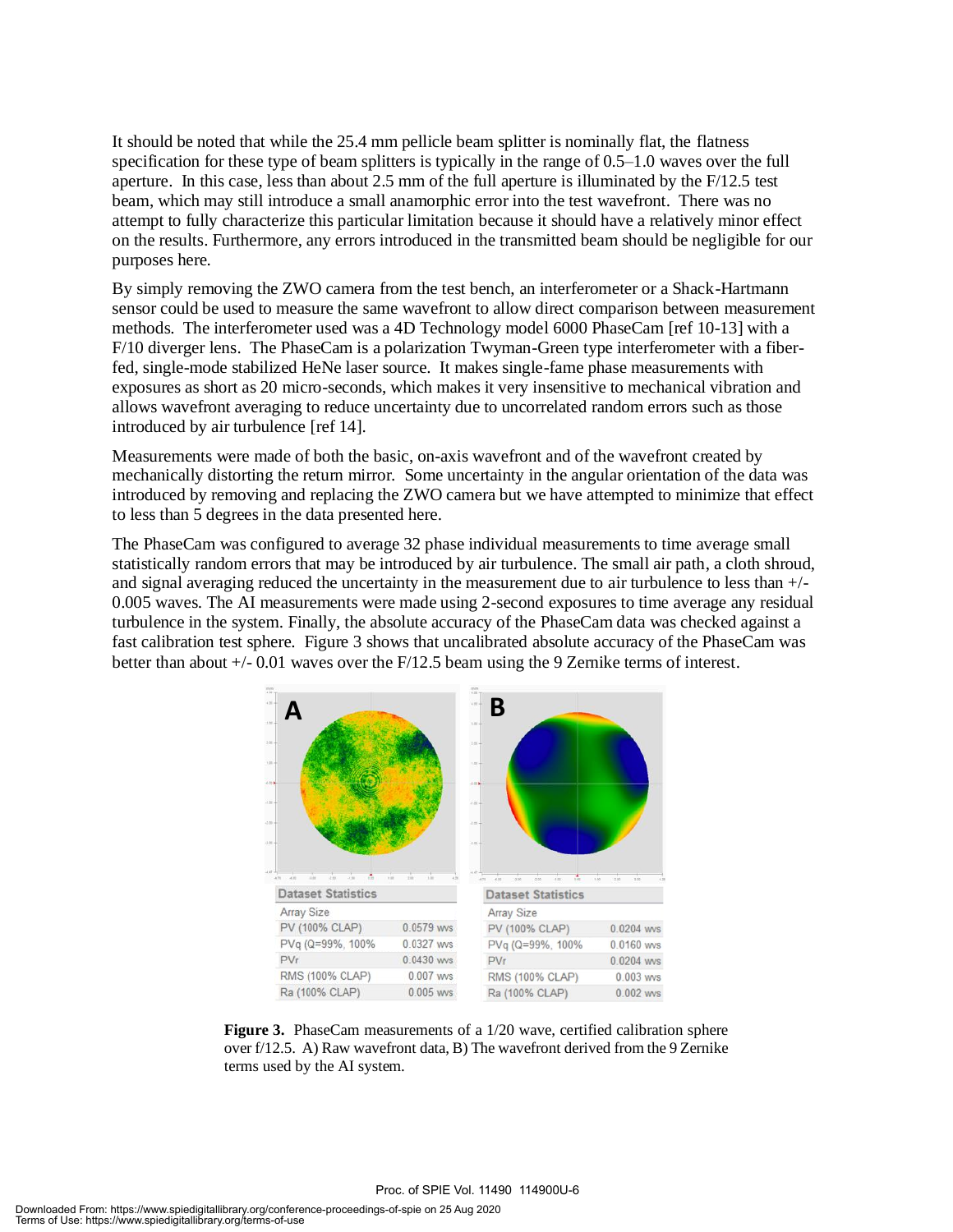It should be noted that while the 25.4 mm pellicle beam splitter is nominally flat, the flatness specification for these type of beam splitters is typically in the range of 0.5–1.0 waves over the full aperture. In this case, less than about 2.5 mm of the full aperture is illuminated by the F/12.5 test beam, which may still introduce a small anamorphic error into the test wavefront. There was no attempt to fully characterize this particular limitation because it should have a relatively minor effect on the results. Furthermore, any errors introduced in the transmitted beam should be negligible for our purposes here.

By simply removing the ZWO camera from the test bench, an interferometer or a Shack-Hartmann sensor could be used to measure the same wavefront to allow direct comparison between measurement methods. The interferometer used was a 4D Technology model 6000 PhaseCam [ref 10-13] with a F/10 diverger lens. The PhaseCam is a polarization Twyman-Green type interferometer with a fiberfed, single-mode stabilized HeNe laser source. It makes single-fame phase measurements with exposures as short as 20 micro-seconds, which makes it very insensitive to mechanical vibration and allows wavefront averaging to reduce uncertainty due to uncorrelated random errors such as those introduced by air turbulence [ref 14].

Measurements were made of both the basic, on-axis wavefront and of the wavefront created by mechanically distorting the return mirror. Some uncertainty in the angular orientation of the data was introduced by removing and replacing the ZWO camera but we have attempted to minimize that effect to less than 5 degrees in the data presented here.

The PhaseCam was configured to average 32 phase individual measurements to time average small statistically random errors that may be introduced by air turbulence. The small air path, a cloth shroud, and signal averaging reduced the uncertainty in the measurement due to air turbulence to less than +/- 0.005 waves. The AI measurements were made using 2-second exposures to time average any residual turbulence in the system. Finally, the absolute accuracy of the PhaseCam data was checked against a fast calibration test sphere. Figure 3 shows that uncalibrated absolute accuracy of the PhaseCam was better than about +/- 0.01 waves over the F/12.5 beam using the 9 Zernike terms of interest.



**Figure 3.** PhaseCam measurements of a  $1/20$  wave, certified calibration sphere over f/12.5. A) Raw wavefront data, B) The wavefront derived from the 9 Zernike terms used by the AI system.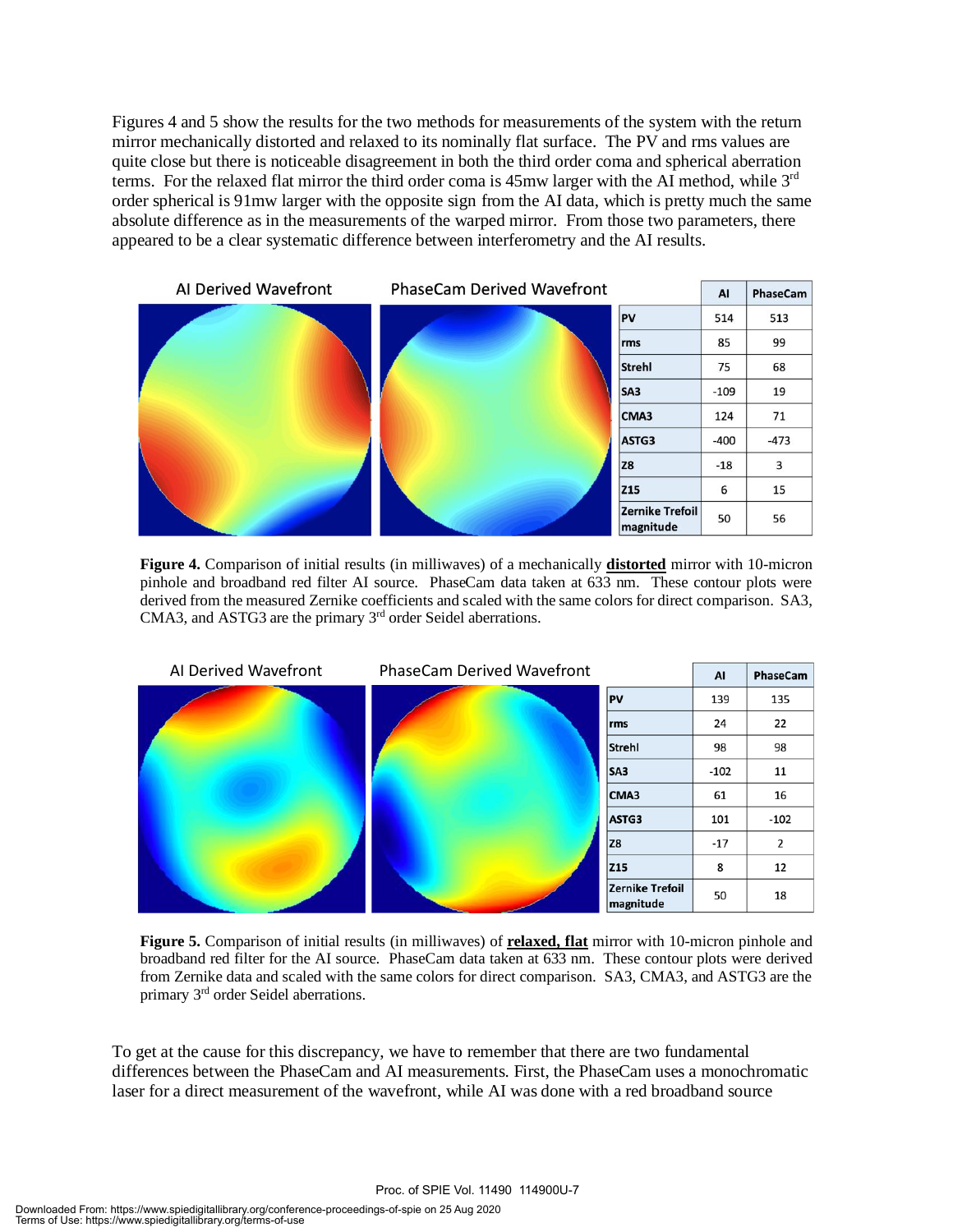Figures 4 and 5 show the results for the two methods for measurements of the system with the return mirror mechanically distorted and relaxed to its nominally flat surface. The PV and rms values are quite close but there is noticeable disagreement in both the third order coma and spherical aberration terms. For the relaxed flat mirror the third order coma is  $45 \text{mw}$  larger with the AI method, while  $3^{\text{rd}}$ order spherical is 91mw larger with the opposite sign from the AI data, which is pretty much the same absolute difference as in the measurements of the warped mirror. From those two parameters, there appeared to be a clear systematic difference between interferometry and the AI results.



**Figure 4.** Comparison of initial results (in milliwaves) of a mechanically **distorted** mirror with 10-micron pinhole and broadband red filter AI source. PhaseCam data taken at 633 nm. These contour plots were derived from the measured Zernike coefficients and scaled with the same colors for direct comparison. SA3, CMA3, and ASTG3 are the primary 3<sup>rd</sup> order Seidel aberrations.



**Figure 5.** Comparison of initial results (in milliwaves) of **relaxed, flat** mirror with 10-micron pinhole and broadband red filter for the AI source. PhaseCam data taken at 633 nm. These contour plots were derived from Zernike data and scaled with the same colors for direct comparison. SA3, CMA3, and ASTG3 are the primary 3rd order Seidel aberrations.

To get at the cause for this discrepancy, we have to remember that there are two fundamental differences between the PhaseCam and AI measurements. First, the PhaseCam uses a monochromatic laser for a direct measurement of the wavefront, while AI was done with a red broadband source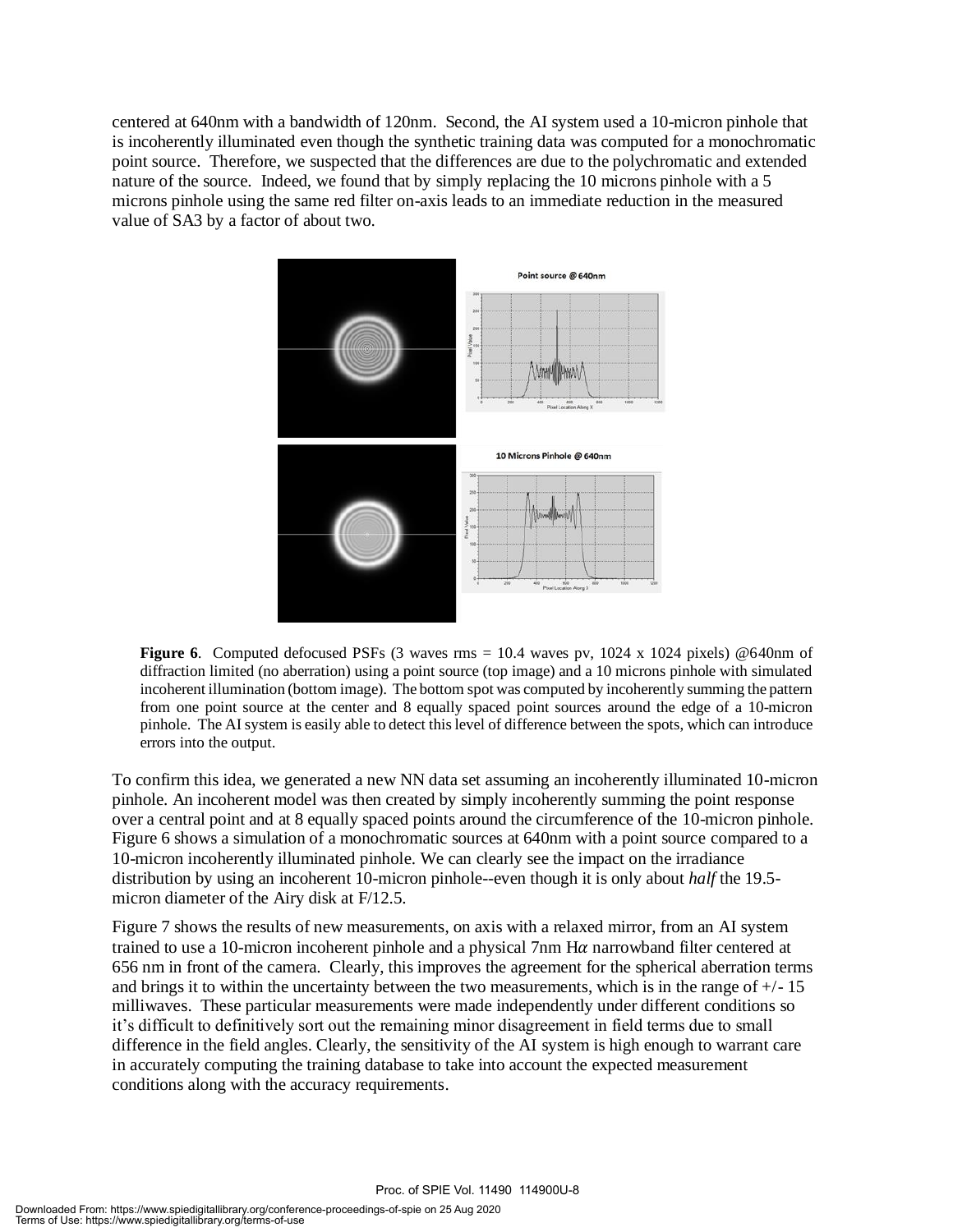centered at 640nm with a bandwidth of 120nm. Second, the AI system used a 10-micron pinhole that is incoherently illuminated even though the synthetic training data was computed for a monochromatic point source. Therefore, we suspected that the differences are due to the polychromatic and extended nature of the source. Indeed, we found that by simply replacing the 10 microns pinhole with a 5 microns pinhole using the same red filter on-axis leads to an immediate reduction in the measured value of SA3 by a factor of about two.



**Figure 6.** Computed defocused PSFs (3 waves rms = 10.4 waves pv, 1024 x 1024 pixels) @640nm of diffraction limited (no aberration) using a point source (top image) and a 10 microns pinhole with simulated incoherent illumination (bottom image). The bottom spot was computed by incoherently summing the pattern from one point source at the center and 8 equally spaced point sources around the edge of a 10-micron pinhole. The AI system is easily able to detect this level of difference between the spots, which can introduce errors into the output.

To confirm this idea, we generated a new NN data set assuming an incoherently illuminated 10-micron pinhole. An incoherent model was then created by simply incoherently summing the point response over a central point and at 8 equally spaced points around the circumference of the 10-micron pinhole. Figure 6 shows a simulation of a monochromatic sources at 640nm with a point source compared to a 10-micron incoherently illuminated pinhole. We can clearly see the impact on the irradiance distribution by using an incoherent 10-micron pinhole--even though it is only about *half* the 19.5 micron diameter of the Airy disk at F/12.5.

Figure 7 shows the results of new measurements, on axis with a relaxed mirror, from an AI system trained to use a 10-micron incoherent pinhole and a physical  $7$ nm H $\alpha$  narrowband filter centered at 656 nm in front of the camera. Clearly, this improves the agreement for the spherical aberration terms and brings it to within the uncertainty between the two measurements, which is in the range of  $+/-15$ milliwaves. These particular measurements were made independently under different conditions so it's difficult to definitively sort out the remaining minor disagreement in field terms due to small difference in the field angles. Clearly, the sensitivity of the AI system is high enough to warrant care in accurately computing the training database to take into account the expected measurement conditions along with the accuracy requirements.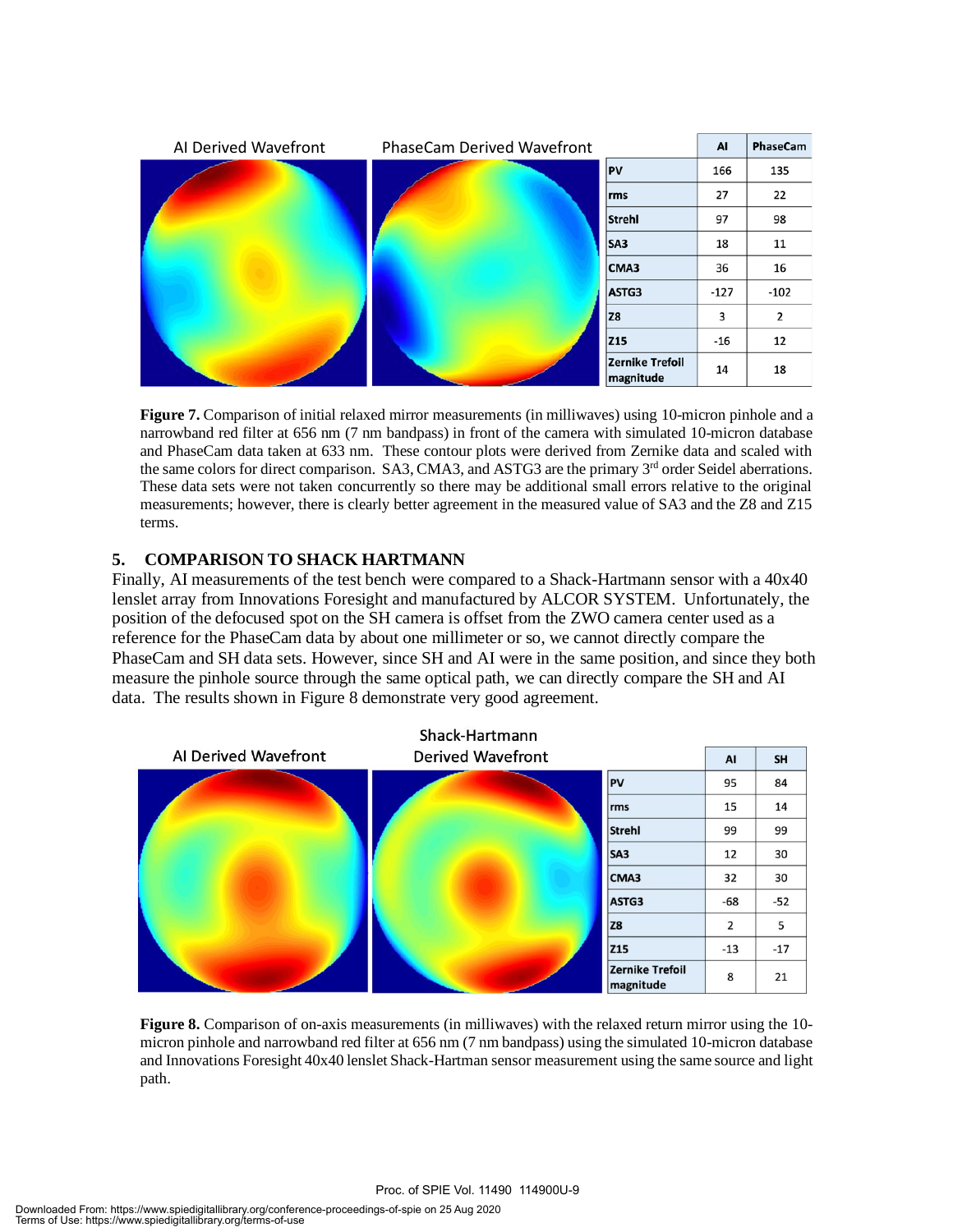

**Figure 7.** Comparison of initial relaxed mirror measurements (in milliwaves) using 10-micron pinhole and a narrowband red filter at 656 nm (7 nm bandpass) in front of the camera with simulated 10-micron database and PhaseCam data taken at 633 nm. These contour plots were derived from Zernike data and scaled with the same colors for direct comparison. SA3, CMA3, and ASTG3 are the primary 3<sup>rd</sup> order Seidel aberrations. These data sets were not taken concurrently so there may be additional small errors relative to the original measurements; however, there is clearly better agreement in the measured value of SA3 and the Z8 and Z15 terms.

### **5. COMPARISON TO SHACK HARTMANN**

Finally, AI measurements of the test bench were compared to a Shack-Hartmann sensor with a 40x40 lenslet array from Innovations Foresight and manufactured by ALCOR SYSTEM. Unfortunately, the position of the defocused spot on the SH camera is offset from the ZWO camera center used as a reference for the PhaseCam data by about one millimeter or so, we cannot directly compare the PhaseCam and SH data sets. However, since SH and AI were in the same position, and since they both measure the pinhole source through the same optical path, we can directly compare the SH and AI data. The results shown in Figure 8 demonstrate very good agreement.



**Figure 8.** Comparison of on-axis measurements (in milliwaves) with the relaxed return mirror using the 10 micron pinhole and narrowband red filter at 656 nm (7 nm bandpass) using the simulated 10-micron database and Innovations Foresight 40x40 lenslet Shack-Hartman sensor measurement using the same source and light path.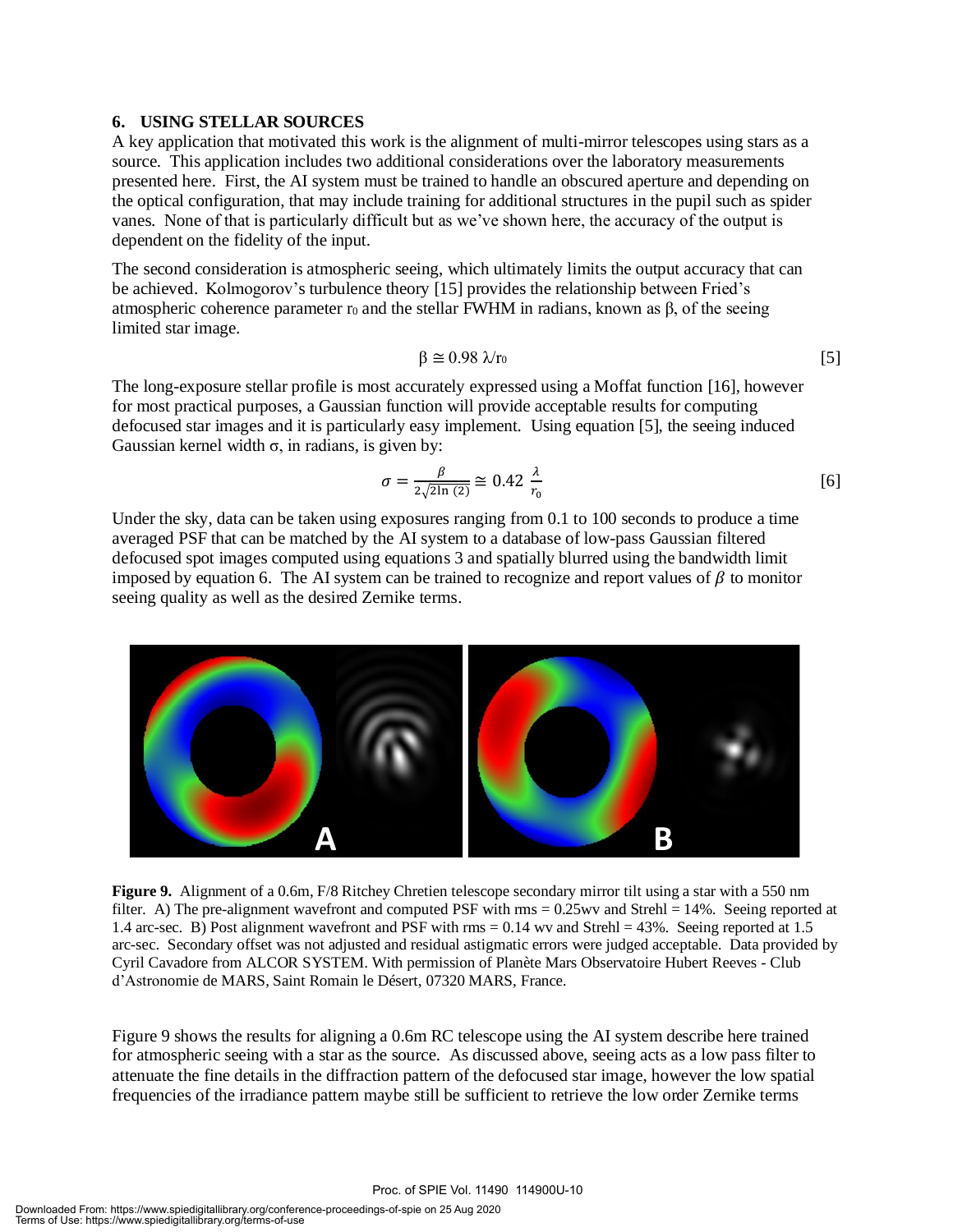#### **6. USING STELLAR SOURCES**

A key application that motivated this work is the alignment of multi-mirror telescopes using stars as a source. This application includes two additional considerations over the laboratory measurements presented here. First, the AI system must be trained to handle an obscured aperture and depending on the optical configuration, that may include training for additional structures in the pupil such as spider vanes. None of that is particularly difficult but as we've shown here, the accuracy of the output is dependent on the fidelity of the input.

The second consideration is atmospheric seeing, which ultimately limits the output accuracy that can be achieved. Kolmogorov's turbulence theory [15] provides the relationship between Fried's atmospheric coherence parameter r<sub>0</sub> and the stellar FWHM in radians, known as β, of the seeing limited star image.

$$
\beta \cong 0.98 \, \lambda/\tau_0 \tag{5}
$$

The long-exposure stellar profile is most accurately expressed using a Moffat function [16], however for most practical purposes, a Gaussian function will provide acceptable results for computing defocused star images and it is particularly easy implement. Using equation [5], the seeing induced Gaussian kernel width  $\sigma$ , in radians, is given by:

$$
\sigma = \frac{\beta}{2\sqrt{2\ln(2)}} \approx 0.42 \frac{\lambda}{r_0} \tag{6}
$$

Under the sky, data can be taken using exposures ranging from 0.1 to 100 seconds to produce a time averaged PSF that can be matched by the AI system to a database of low-pass Gaussian filtered defocused spot images computed using equations 3 and spatially blurred using the bandwidth limit imposed by equation 6. The AI system can be trained to recognize and report values of  $\beta$  to monitor seeing quality as well as the desired Zernike terms.



**Figure 9.** Alignment of a 0.6m, F/8 Ritchey Chretien telescope secondary mirror tilt using a star with a 550 nm filter. A) The pre-alignment wavefront and computed PSF with rms = 0.25wv and Strehl = 14%. Seeing reported at 1.4 arc-sec. B) Post alignment wavefront and PSF with rms = 0.14 wv and Strehl = 43%. Seeing reported at 1.5 arc-sec. Secondary offset was not adjusted and residual astigmatic errors were judged acceptable. Data provided by Cyril Cavadore from ALCOR SYSTEM. With permission of Planète Mars Observatoire Hubert Reeves - Club d'Astronomie de MARS, Saint Romain le Désert, 07320 MARS, France.

Figure 9 shows the results for aligning a 0.6m RC telescope using the AI system describe here trained for atmospheric seeing with a star as the source. As discussed above, seeing acts as a low pass filter to attenuate the fine details in the diffraction pattern of the defocused star image, however the low spatial frequencies of the irradiance pattern maybe still be sufficient to retrieve the low order Zernike terms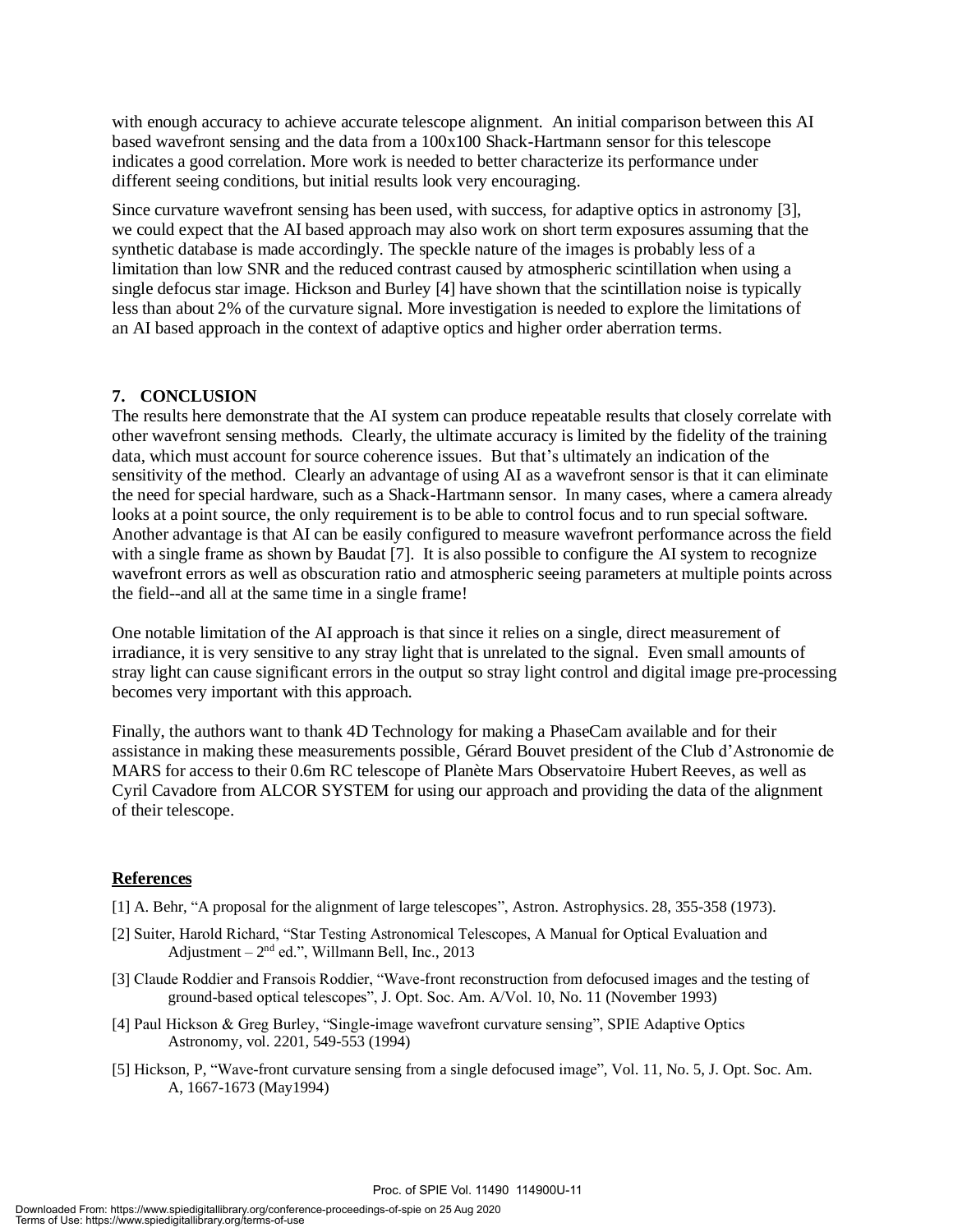with enough accuracy to achieve accurate telescope alignment. An initial comparison between this AI based wavefront sensing and the data from a 100x100 Shack-Hartmann sensor for this telescope indicates a good correlation. More work is needed to better characterize its performance under different seeing conditions, but initial results look very encouraging.

Since curvature wavefront sensing has been used, with success, for adaptive optics in astronomy [3], we could expect that the AI based approach may also work on short term exposures assuming that the synthetic database is made accordingly. The speckle nature of the images is probably less of a limitation than low SNR and the reduced contrast caused by atmospheric scintillation when using a single defocus star image. Hickson and Burley [4] have shown that the scintillation noise is typically less than about 2% of the curvature signal. More investigation is needed to explore the limitations of an AI based approach in the context of adaptive optics and higher order aberration terms.

#### **7. CONCLUSION**

The results here demonstrate that the AI system can produce repeatable results that closely correlate with other wavefront sensing methods. Clearly, the ultimate accuracy is limited by the fidelity of the training data, which must account for source coherence issues. But that's ultimately an indication of the sensitivity of the method. Clearly an advantage of using AI as a wavefront sensor is that it can eliminate the need for special hardware, such as a Shack-Hartmann sensor. In many cases, where a camera already looks at a point source, the only requirement is to be able to control focus and to run special software. Another advantage is that AI can be easily configured to measure wavefront performance across the field with a single frame as shown by Baudat [7]. It is also possible to configure the AI system to recognize wavefront errors as well as obscuration ratio and atmospheric seeing parameters at multiple points across the field--and all at the same time in a single frame!

One notable limitation of the AI approach is that since it relies on a single, direct measurement of irradiance, it is very sensitive to any stray light that is unrelated to the signal. Even small amounts of stray light can cause significant errors in the output so stray light control and digital image pre-processing becomes very important with this approach.

Finally, the authors want to thank 4D Technology for making a PhaseCam available and for their assistance in making these measurements possible, Gérard Bouvet president of the Club d'Astronomie de MARS for access to their 0.6m RC telescope of Planète Mars Observatoire Hubert Reeves, as well as Cyril Cavadore from ALCOR SYSTEM for using our approach and providing the data of the alignment of their telescope.

#### **References**

[1] A. Behr, "A proposal for the alignment of large telescopes", Astron. Astrophysics. 28, 355-358 (1973).

- [2] Suiter, Harold Richard, "Star Testing Astronomical Telescopes, A Manual for Optical Evaluation and Adjustment  $-2<sup>nd</sup>$  ed.", Willmann Bell, Inc., 2013
- [3] Claude Roddier and Fransois Roddier, "Wave-front reconstruction from defocused images and the testing of ground-based optical telescopes", J. Opt. Soc. Am. A/Vol. 10, No. 11 (November 1993)
- [4] Paul Hickson & Greg Burley, "Single-image wavefront curvature sensing", SPIE Adaptive Optics Astronomy, vol. 2201, 549-553 (1994)
- [5] Hickson, P, "Wave-front curvature sensing from a single defocused image", Vol. 11, No. 5, J. Opt. Soc. Am. A, 1667-1673 (May1994)